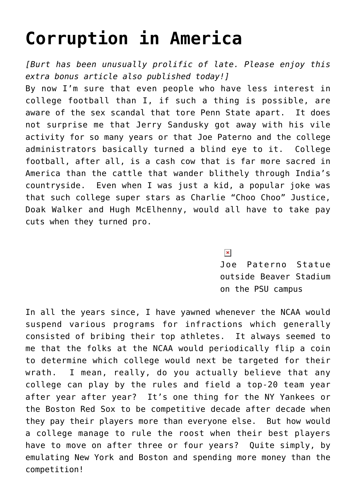## **[Corruption in America](https://bernardgoldberg.com/corruption-in-america/)**

*[Burt has been unusually prolific of late. Please enjoy this [extra bonus article](http://www.hdi3.wpengine.com/?p=8466) also published today!]*

By now I'm sure that even people who have less interest in college football than I, if such a thing is possible, are aware of the sex scandal that tore Penn State apart. It does not surprise me that Jerry Sandusky got away with his vile activity for so many years or that Joe [Paterno and the college](http://www.washingtonpost.com/wp-srv/sports/documents/sandusky-grand-jury-report11052011.html) [administrators basically turned a blind eye](http://www.washingtonpost.com/wp-srv/sports/documents/sandusky-grand-jury-report11052011.html) to it. College football, after all, is a cash cow that is far more sacred in America than the cattle that wander blithely through India's countryside. Even when I was just a kid, a popular joke was that such college super stars as Charlie "Choo Choo" Justice, Doak Walker and Hugh McElhenny, would all have to take pay cuts when they turned pro.

 $\pmb{\times}$ 

Joe Paterno Statue outside Beaver Stadium on the PSU campus

In all the years since, I have yawned whenever the NCAA would suspend various programs for infractions which generally consisted of bribing their top athletes. It always seemed to me that the folks at the NCAA would periodically flip a coin to determine which college would next be targeted for their wrath. I mean, really, do you actually believe that any college can play by the rules and field a top-20 team year after year after year? It's one thing for the NY Yankees or the Boston Red Sox to be competitive decade after decade when they pay their players more than everyone else. But how would a college manage to rule the roost when their best players have to move on after three or four years? Quite simply, by emulating New York and Boston and spending more money than the competition!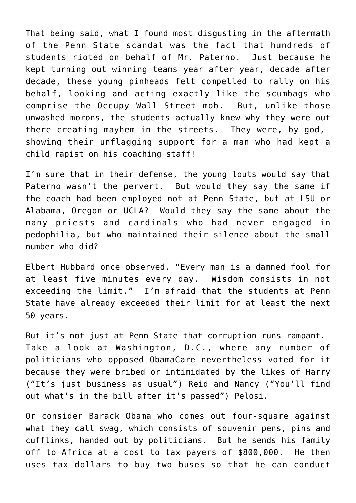That being said, what I found most disgusting in the aftermath of the Penn State scandal was the fact that hundreds of students rioted on behalf of Mr. Paterno. Just because he kept turning out winning teams year after year, decade after decade, these young pinheads felt compelled to rally on his behalf, looking and acting exactly like the scumbags who comprise the Occupy Wall Street mob. But, unlike those unwashed morons, the students actually knew why they were out there creating mayhem in the streets. They were, by god, showing their unflagging support for a man who had kept a child rapist on his coaching staff!

I'm sure that in their defense, the young louts would say that Paterno wasn't the pervert. But would they say the same if the coach had been employed not at Penn State, but at LSU or Alabama, Oregon or UCLA? Would they say the same about the many priests and cardinals who had never engaged in pedophilia, but who maintained their silence about the small number who did?

Elbert Hubbard once observed, "Every man is a damned fool for at least five minutes every day. Wisdom consists in not exceeding the limit." I'm afraid that the students at Penn State have already exceeded their limit for at least the next 50 years.

But it's not just at Penn State that corruption runs rampant. Take a look at Washington, D.C., where any number of politicians who opposed ObamaCare nevertheless voted for it because they were bribed or intimidated by the likes of Harry ("It's just business as usual") Reid and Nancy ("You'll find out what's in the bill after it's passed") Pelosi.

Or consider Barack Obama who comes out four-square against what they call swag, which consists of souvenir pens, pins and cufflinks, handed out by politicians. But he sends his family off to Africa at a cost to tax payers of \$800,000. He then uses tax dollars to buy two buses so that he can conduct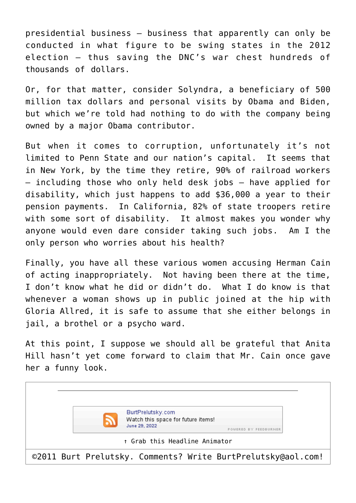presidential business — business that apparently can only be conducted in what figure to be swing states in the 2012 election — thus saving the DNC's war chest hundreds of thousands of dollars.

Or, for that matter, consider Solyndra, a beneficiary of 500 million tax dollars and personal visits by Obama and Biden, but which we're told had nothing to do with the company being owned by a major Obama contributor.

But when it comes to corruption, unfortunately it's not limited to Penn State and our nation's capital. It seems that in New York, by the time they retire, 90% of railroad workers — including those who only held desk jobs — have applied for disability, which just happens to add \$36,000 a year to their pension payments. In California, 82% of state troopers retire with some sort of disability. It almost makes you wonder why anyone would even dare consider taking such jobs. Am I the only person who worries about his health?

Finally, you have all these various women accusing Herman Cain of acting inappropriately. Not having been there at the time, I don't know what he did or didn't do. What I do know is that whenever a woman shows up in public joined at the hip with Gloria Allred, it is safe to assume that she either belongs in jail, a brothel or a psycho ward.

At this point, I suppose we should all be grateful that Anita Hill hasn't yet come forward to claim that Mr. Cain once gave her a funny look.